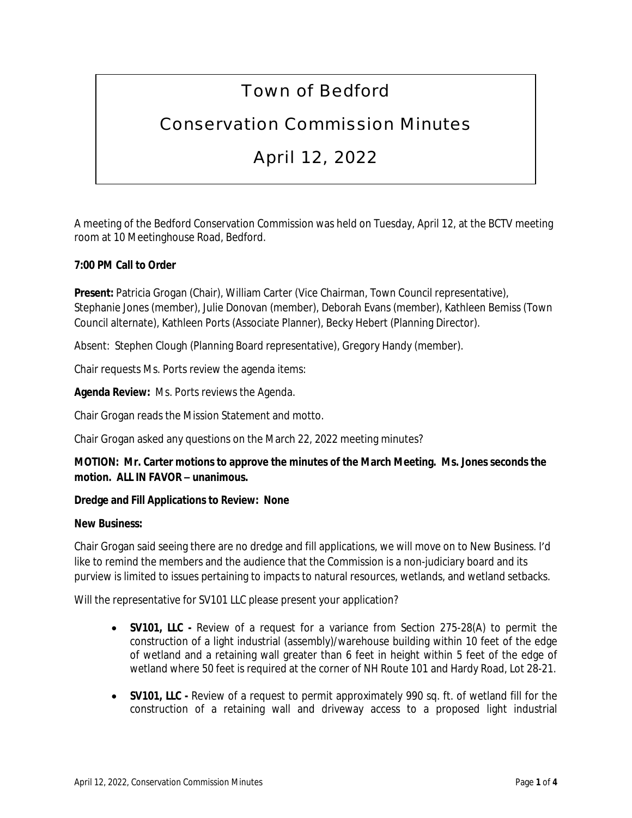# Town of Bedford

## Conservation Commission Minutes

## April 12, 2022

A meeting of the Bedford Conservation Commission was held on Tuesday, April 12, at the BCTV meeting room at 10 Meetinghouse Road, Bedford.

## **7:00 PM Call to Order**

**Present:** Patricia Grogan (Chair), William Carter (Vice Chairman, Town Council representative), Stephanie Jones (member), Julie Donovan (member), Deborah Evans (member), Kathleen Bemiss (Town Council alternate), Kathleen Ports (Associate Planner), Becky Hebert (Planning Director).

Absent: Stephen Clough (Planning Board representative), Gregory Handy (member).

Chair requests Ms. Ports review the agenda items:

**Agenda Review:** Ms. Ports reviews the Agenda.

Chair Grogan reads the Mission Statement and motto.

Chair Grogan asked any questions on the March 22, 2022 meeting minutes?

## **MOTION: Mr. Carter motions to approve the minutes of the March Meeting. Ms. Jones seconds the motion. ALL IN FAVOR – unanimous.**

## **Dredge and Fill Applications to Review: None**

#### **New Business:**

Chair Grogan said seeing there are no dredge and fill applications, we will move on to New Business. I'd like to remind the members and the audience that the Commission is a non-judiciary board and its purview is limited to issues pertaining to impacts to natural resources, wetlands, and wetland setbacks.

Will the representative for SV101 LLC please present your application?

- **SV101, LLC -** Review of a request for a variance from Section 275-28(A) to permit the construction of a light industrial (assembly)/warehouse building within 10 feet of the edge of wetland and a retaining wall greater than 6 feet in height within 5 feet of the edge of wetland where 50 feet is required at the corner of NH Route 101 and Hardy Road, Lot 28-21.
- **SV101, LLC -** Review of a request to permit approximately 990 sq. ft. of wetland fill for the construction of a retaining wall and driveway access to a proposed light industrial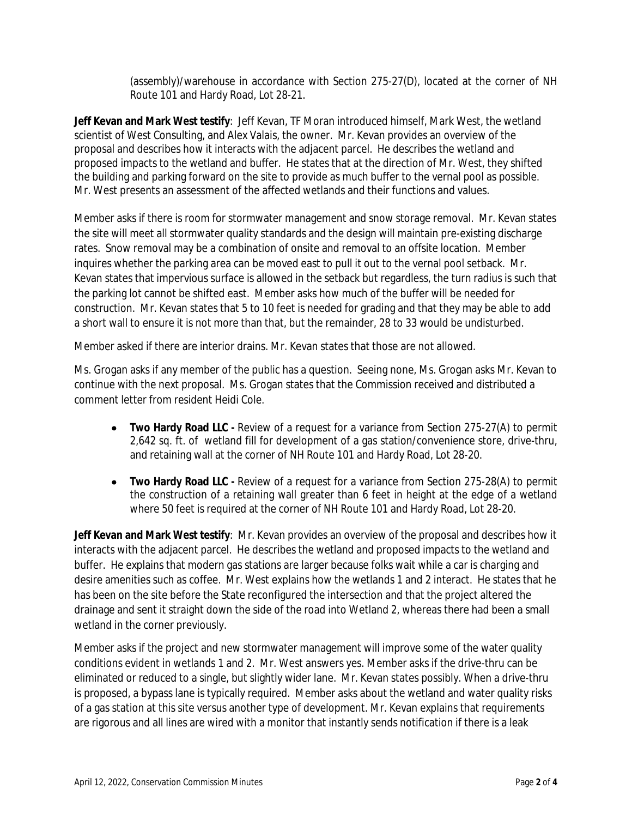(assembly)/warehouse in accordance with Section 275-27(D), located at the corner of NH Route 101 and Hardy Road, Lot 28-21.

**Jeff Kevan and Mark West testify**: Jeff Kevan, TF Moran introduced himself, Mark West, the wetland scientist of West Consulting, and Alex Valais, the owner. Mr. Kevan provides an overview of the proposal and describes how it interacts with the adjacent parcel. He describes the wetland and proposed impacts to the wetland and buffer. He states that at the direction of Mr. West, they shifted the building and parking forward on the site to provide as much buffer to the vernal pool as possible. Mr. West presents an assessment of the affected wetlands and their functions and values.

Member asks if there is room for stormwater management and snow storage removal. Mr. Kevan states the site will meet all stormwater quality standards and the design will maintain pre-existing discharge rates. Snow removal may be a combination of onsite and removal to an offsite location. Member inquires whether the parking area can be moved east to pull it out to the vernal pool setback. Mr. Kevan states that impervious surface is allowed in the setback but regardless, the turn radius is such that the parking lot cannot be shifted east. Member asks how much of the buffer will be needed for construction. Mr. Kevan states that 5 to 10 feet is needed for grading and that they may be able to add a short wall to ensure it is not more than that, but the remainder, 28 to 33 would be undisturbed.

Member asked if there are interior drains. Mr. Kevan states that those are not allowed.

Ms. Grogan asks if any member of the public has a question. Seeing none, Ms. Grogan asks Mr. Kevan to continue with the next proposal. Ms. Grogan states that the Commission received and distributed a comment letter from resident Heidi Cole.

- **Two Hardy Road LLC -** Review of a request for a variance from Section 275-27(A) to permit 2,642 sq. ft. of wetland fill for development of a gas station/convenience store, drive-thru, and retaining wall at the corner of NH Route 101 and Hardy Road, Lot 28-20.
- **Two Hardy Road LLC -** Review of a request for a variance from Section 275-28(A) to permit the construction of a retaining wall greater than 6 feet in height at the edge of a wetland where 50 feet is required at the corner of NH Route 101 and Hardy Road, Lot 28-20.

**Jeff Kevan and Mark West testify**: Mr. Kevan provides an overview of the proposal and describes how it interacts with the adjacent parcel. He describes the wetland and proposed impacts to the wetland and buffer. He explains that modern gas stations are larger because folks wait while a car is charging and desire amenities such as coffee. Mr. West explains how the wetlands 1 and 2 interact. He states that he has been on the site before the State reconfigured the intersection and that the project altered the drainage and sent it straight down the side of the road into Wetland 2, whereas there had been a small wetland in the corner previously.

Member asks if the project and new stormwater management will improve some of the water quality conditions evident in wetlands 1 and 2. Mr. West answers yes. Member asks if the drive-thru can be eliminated or reduced to a single, but slightly wider lane. Mr. Kevan states possibly. When a drive-thru is proposed, a bypass lane is typically required. Member asks about the wetland and water quality risks of a gas station at this site versus another type of development. Mr. Kevan explains that requirements are rigorous and all lines are wired with a monitor that instantly sends notification if there is a leak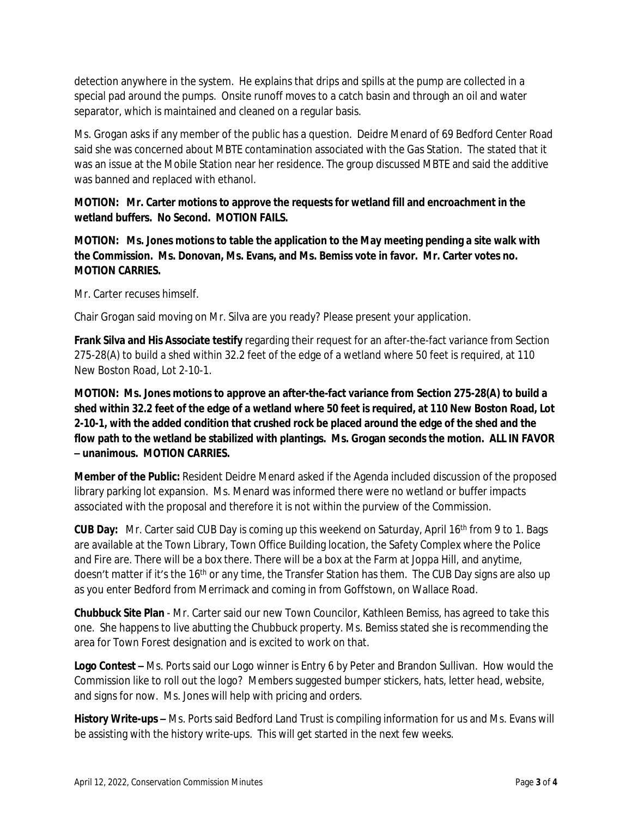detection anywhere in the system. He explains that drips and spills at the pump are collected in a special pad around the pumps. Onsite runoff moves to a catch basin and through an oil and water separator, which is maintained and cleaned on a regular basis.

Ms. Grogan asks if any member of the public has a question. Deidre Menard of 69 Bedford Center Road said she was concerned about MBTE contamination associated with the Gas Station. The stated that it was an issue at the Mobile Station near her residence. The group discussed MBTE and said the additive was banned and replaced with ethanol.

**MOTION: Mr. Carter motions to approve the requests for wetland fill and encroachment in the wetland buffers. No Second. MOTION FAILS.**

**MOTION: Ms. Jones motions to table the application to the May meeting pending a site walk with the Commission. Ms. Donovan, Ms. Evans, and Ms. Bemiss vote in favor. Mr. Carter votes no. MOTION CARRIES.** 

Mr. Carter recuses himself.

Chair Grogan said moving on Mr. Silva are you ready? Please present your application.

**Frank Silva and His Associate testify** regarding their request for an after-the-fact variance from Section 275-28(A) to build a shed within 32.2 feet of the edge of a wetland where 50 feet is required, at 110 New Boston Road, Lot 2-10-1.

**MOTION: Ms. Jones motions to approve an after-the-fact variance from Section 275-28(A) to build a shed within 32.2 feet of the edge of a wetland where 50 feet is required, at 110 New Boston Road, Lot 2-10-1, with the added condition that crushed rock be placed around the edge of the shed and the flow path to the wetland be stabilized with plantings. Ms. Grogan seconds the motion. ALL IN FAVOR – unanimous. MOTION CARRIES.**

**Member of the Public:** Resident Deidre Menard asked if the Agenda included discussion of the proposed library parking lot expansion. Ms. Menard was informed there were no wetland or buffer impacts associated with the proposal and therefore it is not within the purview of the Commission.

**CUB Day:** Mr. Carter said CUB Day is coming up this weekend on Saturday, April 16th from 9 to 1. Bags are available at the Town Library, Town Office Building location, the Safety Complex where the Police and Fire are. There will be a box there. There will be a box at the Farm at Joppa Hill, and anytime, doesn't matter if it's the 16<sup>th</sup> or any time, the Transfer Station has them. The CUB Day signs are also up as you enter Bedford from Merrimack and coming in from Goffstown, on Wallace Road.

**Chubbuck Site Plan** - Mr. Carter said our new Town Councilor, Kathleen Bemiss, has agreed to take this one. She happens to live abutting the Chubbuck property. Ms. Bemiss stated she is recommending the area for Town Forest designation and is excited to work on that.

**Logo Contest –** Ms. Ports said our Logo winner is Entry 6 by Peter and Brandon Sullivan. How would the Commission like to roll out the logo? Members suggested bumper stickers, hats, letter head, website, and signs for now. Ms. Jones will help with pricing and orders.

**History Write-ups –** Ms. Ports said Bedford Land Trust is compiling information for us and Ms. Evans will be assisting with the history write-ups. This will get started in the next few weeks.